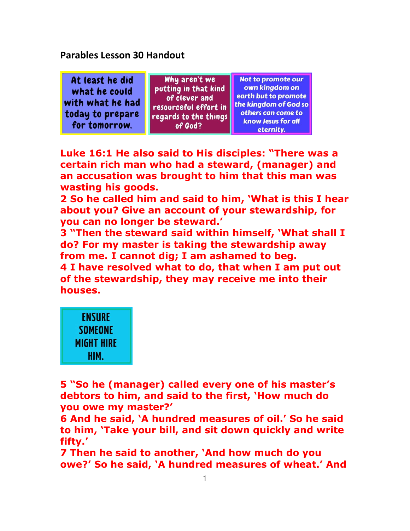Parables Lesson 30 Handout

Why aren't we Not to promote our At least he did own kingdom on putting in that kind what he could earth but to promote of clever and with what he had the kinadom of God so resourceful effort in today to prepare others can come to regards to the things know Jesus for all for tomorrow. of God? eternity.

Luke 16:1 He also said to His disciples: "There was a certain rich man who had a steward, (manager) and an accusation was brought to him that this man was wasting his goods.

2 So he called him and said to him, 'What is this I hear about you? Give an account of your stewardship, for you can no longer be steward.'

3 "Then the steward said within himself, 'What shall I do? For my master is taking the stewardship away from me. I cannot dig; I am ashamed to beg. 4 I have resolved what to do, that when I am put out of the stewardship, they may receive me into their houses.



5 "So he (manager) called every one of his master's debtors to him, and said to the first, 'How much do you owe my master?'

6 And he said, 'A hundred measures of oil.' So he said to him, 'Take your bill, and sit down quickly and write fifty.'

7 Then he said to another, 'And how much do you owe?' So he said, 'A hundred measures of wheat.' And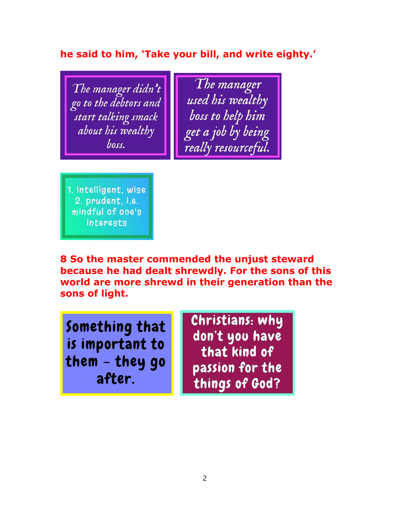# he said to him, 'Take your bill, and write eighty.'

The manager didn't go to the debtors and start talking smack about his wealthy boss.

The manager used his wealthy boss to help him get a job by being really resourceful.

1. intelligent, wise 2. prudent, i.e. mindful of one's interests

8 So the master commended the unjust steward because he had dealt shrewdly. For the sons of this world are more shrewd in their generation than the sons of light.

Something that is important to them - they go after.

Christians: why don't you have that kind of passion for the things of God?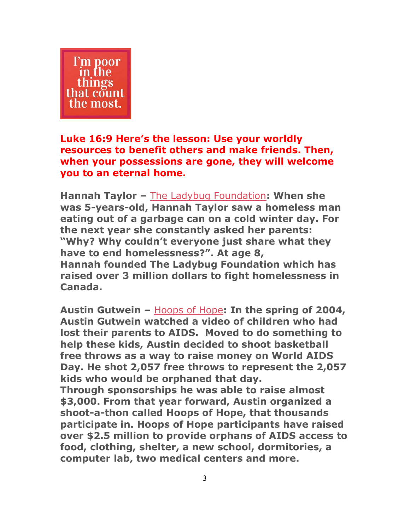

## Luke 16:9 Here's the lesson: Use your worldly resources to benefit others and make friends. Then, when your possessions are gone, they will welcome you to an eternal home.

Hannah Taylor – The Ladybug Foundation: When she was 5-years-old, Hannah Taylor saw a homeless man eating out of a garbage can on a cold winter day. For the next year she constantly asked her parents: "Why? Why couldn't everyone just share what they have to end homelessness?". At age 8, Hannah founded The Ladybug Foundation which has raised over 3 million dollars to fight homelessness in Canada.

Austin Gutwein – Hoops of Hope: In the spring of 2004, Austin Gutwein watched a video of children who had lost their parents to AIDS. Moved to do something to help these kids, Austin decided to shoot basketball free throws as a way to raise money on World AIDS Day. He shot 2,057 free throws to represent the 2,057 kids who would be orphaned that day.

Through sponsorships he was able to raise almost \$3,000. From that year forward, Austin organized a shoot-a-thon called Hoops of Hope, that thousands participate in. Hoops of Hope participants have raised over \$2.5 million to provide orphans of AIDS access to food, clothing, shelter, a new school, dormitories, a computer lab, two medical centers and more.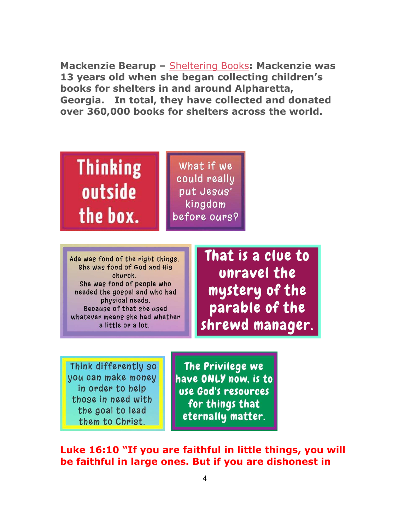Mackenzie Bearup – Sheltering Books: Mackenzie was 13 years old when she began collecting children's books for shelters in and around Alpharetta, Georgia. In total, they have collected and donated over 360,000 books for shelters across the world.



Ada was fond of the right things. She was fond of God and His church She was fond of people who needed the gospel and who had physical needs. Because of that she used whatever means she had whether a little or a lot.

That is a clue to unravel the mystery of the parable of the shrewd manager.

Think differently so you can make money in order to help those in need with the goal to lead them to Christ.

The Privilege we have ONLY now. is to use God's resources for things that eternally matter.

Luke 16:10 "If you are faithful in little things, you will be faithful in large ones. But if you are dishonest in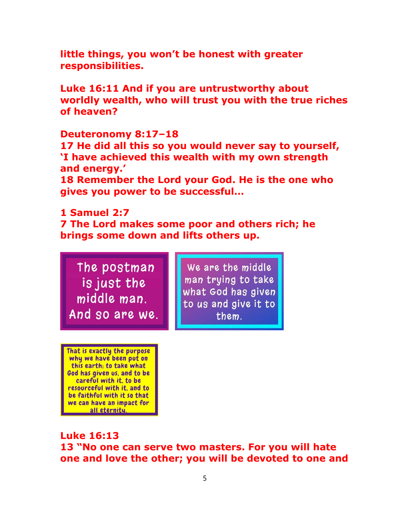little things, you won't be honest with greater responsibilities.

Luke 16:11 And if you are untrustworthy about worldly wealth, who will trust you with the true riches of heaven?

#### Deuteronomy 8:17–18

17 He did all this so you would never say to yourself, 'I have achieved this wealth with my own strength and energy.'

18 Remember the Lord your God. He is the one who gives you power to be successful…

### 1 Samuel 2:7

7 The Lord makes some poor and others rich; he brings some down and lifts others up.

The postman is just the middle man. And so are we.

We are the middle man trying to take what God has given to us and give it to them.

That is exactly the purpose why we have been put on this earth; to take what God has given us, and to be careful with it, to be resourceful with it. and to be faithful with it so that we can have an impact for all eternity.

Luke 16:13 13 "No one can serve two masters. For you will hate one and love the other; you will be devoted to one and